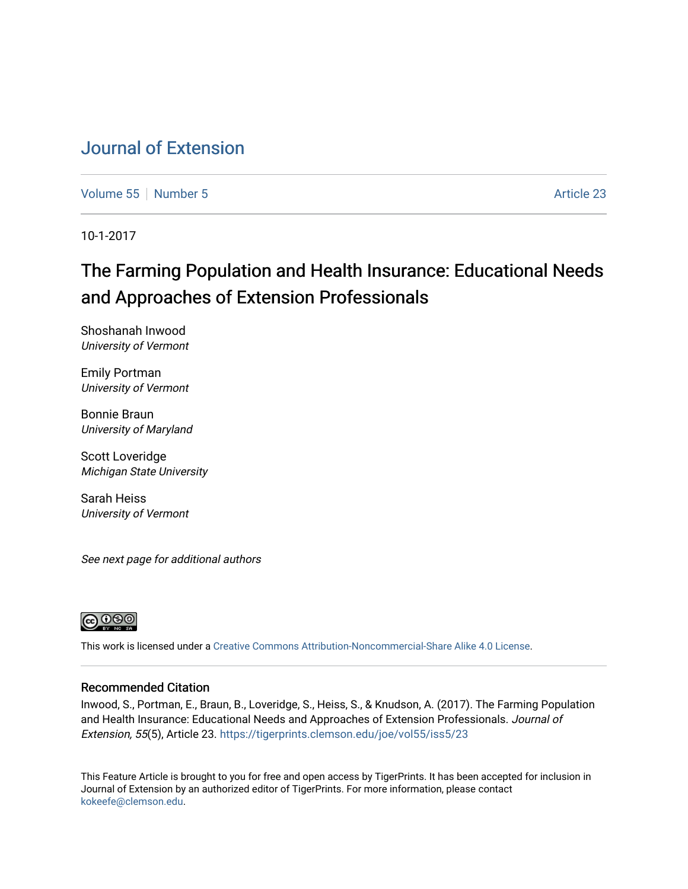## [Journal of Extension](https://tigerprints.clemson.edu/joe)

[Volume 55](https://tigerprints.clemson.edu/joe/vol55) [Number 5](https://tigerprints.clemson.edu/joe/vol55/iss5) Article 23

10-1-2017

# The Farming Population and Health Insurance: Educational Needs and Approaches of Extension Professionals

Shoshanah Inwood University of Vermont

Emily Portman University of Vermont

Bonnie Braun University of Maryland

Scott Loveridge Michigan State University

Sarah Heiss University of Vermont

See next page for additional authors



This work is licensed under a [Creative Commons Attribution-Noncommercial-Share Alike 4.0 License.](https://creativecommons.org/licenses/by-nc-sa/4.0/)

#### Recommended Citation

Inwood, S., Portman, E., Braun, B., Loveridge, S., Heiss, S., & Knudson, A. (2017). The Farming Population and Health Insurance: Educational Needs and Approaches of Extension Professionals. Journal of Extension, 55(5), Article 23. <https://tigerprints.clemson.edu/joe/vol55/iss5/23>

This Feature Article is brought to you for free and open access by TigerPrints. It has been accepted for inclusion in Journal of Extension by an authorized editor of TigerPrints. For more information, please contact [kokeefe@clemson.edu](mailto:kokeefe@clemson.edu).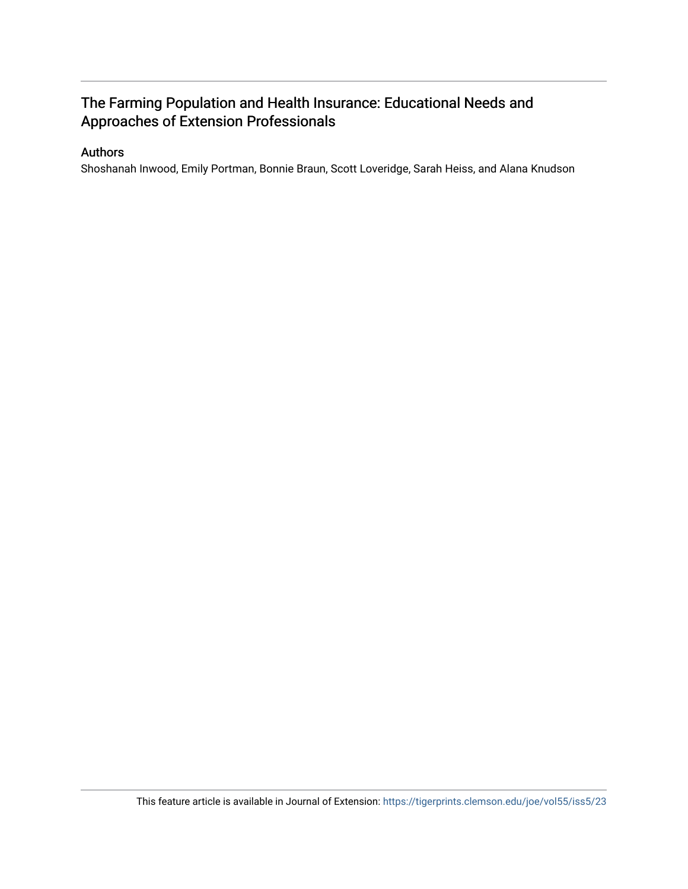## The Farming Population and Health Insurance: Educational Needs and Approaches of Extension Professionals

#### Authors

Shoshanah Inwood, Emily Portman, Bonnie Braun, Scott Loveridge, Sarah Heiss, and Alana Knudson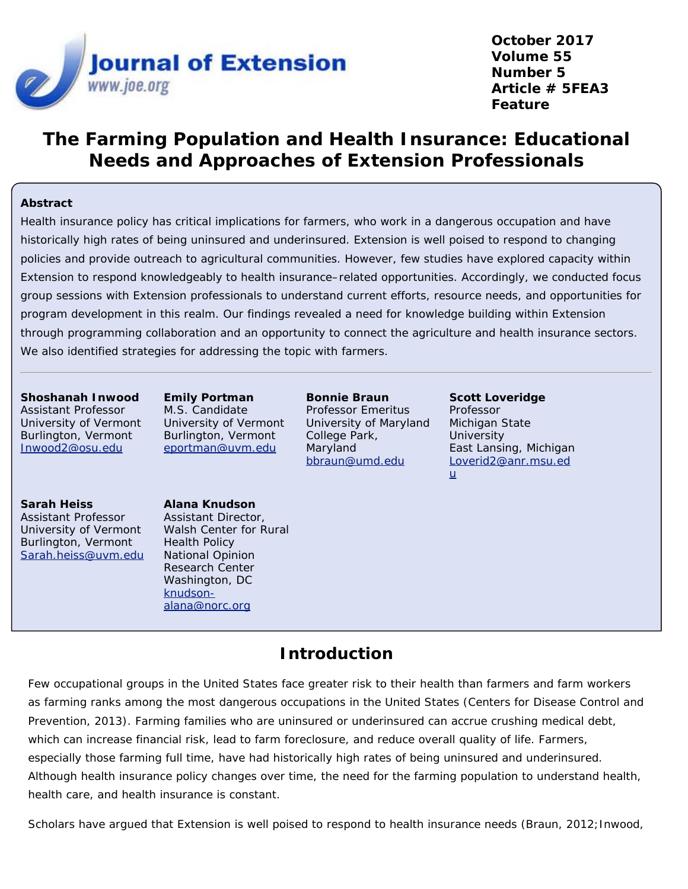

**October 2017 Volume 55 Number 5 Article # 5FEA3 Feature**

# **The Farming Population and Health Insurance: Educational Needs and Approaches of Extension Professionals**

#### **Abstract**

Health insurance policy has critical implications for farmers, who work in a dangerous occupation and have historically high rates of being uninsured and underinsured. Extension is well poised to respond to changing policies and provide outreach to agricultural communities. However, few studies have explored capacity within Extension to respond knowledgeably to health insurance–related opportunities. Accordingly, we conducted focus group sessions with Extension professionals to understand current efforts, resource needs, and opportunities for program development in this realm. Our findings revealed a need for knowledge building within Extension through programming collaboration and an opportunity to connect the agriculture and health insurance sectors. We also identified strategies for addressing the topic with farmers.

#### **Shoshanah Inwood**

Assistant Professor University of Vermont Burlington, Vermont [Inwood2@osu.edu](mailto:Inwood2@osu.edu)

**Emily Portman** M.S. Candidate University of Vermont Burlington, Vermont [eportman@uvm.edu](mailto:eportman@uvm.edu)

**Bonnie Braun** Professor Emeritus University of Maryland College Park, Maryland [bbraun@umd.edu](mailto:bbraun@umd.edu)

**Scott Loveridge** Professor Michigan State **University** East Lansing, Michigan [Loverid2@anr.msu.ed](mailto:Loverid2@anr.msu.edu) [u](mailto:Loverid2@anr.msu.edu)

#### **Sarah Heiss**

Assistant Professor University of Vermont Burlington, Vermont [Sarah.heiss@uvm.edu](mailto:Sarah.heiss@uvm.edu)

**Alana Knudson** Assistant Director, Walsh Center for Rural Health Policy National Opinion Research Center Washington, DC [knudson](mailto:knudson-alana@norc.org)[alana@norc.org](mailto:knudson-alana@norc.org)

### **Introduction**

Few occupational groups in the United States face greater risk to their health than farmers and farm workers as farming ranks among the most dangerous occupations in the United States (Centers for Disease Control and Prevention, 2013). Farming families who are uninsured or underinsured can accrue crushing medical debt, which can increase financial risk, lead to farm foreclosure, and reduce overall quality of life. Farmers, especially those farming full time, have had historically high rates of being uninsured and underinsured. Although health insurance policy changes over time, the need for the farming population to understand health, health care, and health insurance is constant.

Scholars have argued that Extension is well poised to respond to health insurance needs (Braun, 2012; Inwood,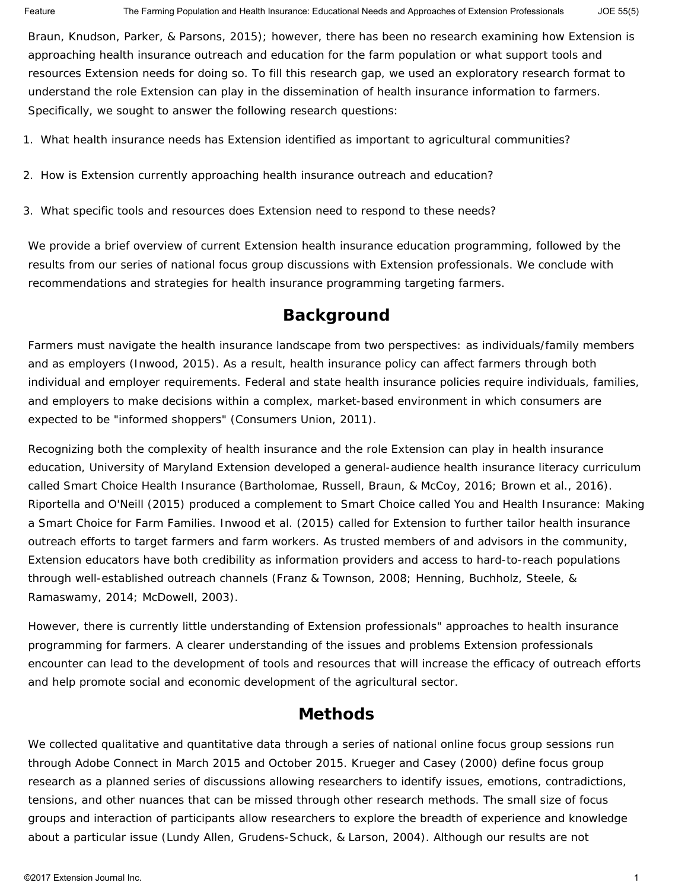Braun, Knudson, Parker, & Parsons, 2015); however, there has been no research examining how Extension is approaching health insurance outreach and education for the farm population or what support tools and resources Extension needs for doing so. To fill this research gap, we used an exploratory research format to understand the role Extension can play in the dissemination of health insurance information to farmers. Specifically, we sought to answer the following research questions:

- 1. What health insurance needs has Extension identified as important to agricultural communities?
- 2. How is Extension currently approaching health insurance outreach and education?
- 3. What specific tools and resources does Extension need to respond to these needs?

We provide a brief overview of current Extension health insurance education programming, followed by the results from our series of national focus group discussions with Extension professionals. We conclude with recommendations and strategies for health insurance programming targeting farmers.

## **Background**

Farmers must navigate the health insurance landscape from two perspectives: as individuals/family members and as employers (Inwood, 2015). As a result, health insurance policy can affect farmers through both individual and employer requirements. Federal and state health insurance policies require individuals, families, and employers to make decisions within a complex, market-based environment in which consumers are expected to be "informed shoppers" (Consumers Union, 2011).

Recognizing both the complexity of health insurance and the role Extension can play in health insurance education, University of Maryland Extension developed a general-audience health insurance literacy curriculum called Smart Choice Health Insurance (Bartholomae, Russell, Braun, & McCoy, 2016; Brown et al., 2016). Riportella and O'Neill (2015) produced a complement to Smart Choice called You and Health Insurance: Making a Smart Choice for Farm Families. Inwood et al. (2015) called for Extension to further tailor health insurance outreach efforts to target farmers and farm workers. As trusted members of and advisors in the community, Extension educators have both credibility as information providers and access to hard-to-reach populations through well-established outreach channels (Franz & Townson, 2008; Henning, Buchholz, Steele, & Ramaswamy, 2014; McDowell, 2003).

However, there is currently little understanding of Extension professionals" approaches to health insurance programming for farmers. A clearer understanding of the issues and problems Extension professionals encounter can lead to the development of tools and resources that will increase the efficacy of outreach efforts and help promote social and economic development of the agricultural sector.

### **Methods**

We collected qualitative and quantitative data through a series of national online focus group sessions run through Adobe Connect in March 2015 and October 2015. Krueger and Casey (2000) define focus group research as a planned series of discussions allowing researchers to identify issues, emotions, contradictions, tensions, and other nuances that can be missed through other research methods. The small size of focus groups and interaction of participants allow researchers to explore the breadth of experience and knowledge about a particular issue (Lundy Allen, Grudens-Schuck, & Larson, 2004). Although our results are not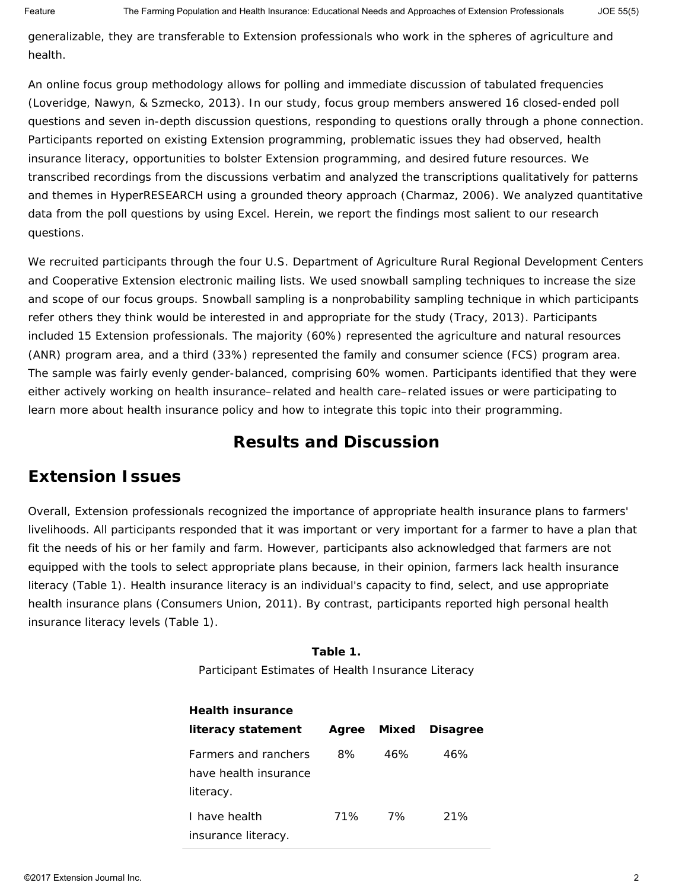generalizable, they are transferable to Extension professionals who work in the spheres of agriculture and health.

An online focus group methodology allows for polling and immediate discussion of tabulated frequencies (Loveridge, Nawyn, & Szmecko, 2013). In our study, focus group members answered 16 closed-ended poll questions and seven in-depth discussion questions, responding to questions orally through a phone connection. Participants reported on existing Extension programming, problematic issues they had observed, health insurance literacy, opportunities to bolster Extension programming, and desired future resources. We transcribed recordings from the discussions verbatim and analyzed the transcriptions qualitatively for patterns and themes in HyperRESEARCH using a grounded theory approach (Charmaz, 2006). We analyzed quantitative data from the poll questions by using Excel. Herein, we report the findings most salient to our research questions.

We recruited participants through the four U.S. Department of Agriculture Rural Regional Development Centers and Cooperative Extension electronic mailing lists. We used snowball sampling techniques to increase the size and scope of our focus groups. Snowball sampling is a nonprobability sampling technique in which participants refer others they think would be interested in and appropriate for the study (Tracy, 2013). Participants included 15 Extension professionals. The majority (60%) represented the agriculture and natural resources (ANR) program area, and a third (33%) represented the family and consumer science (FCS) program area. The sample was fairly evenly gender-balanced, comprising 60% women. Participants identified that they were either actively working on health insurance–related and health care–related issues or were participating to learn more about health insurance policy and how to integrate this topic into their programming.

## **Results and Discussion**

## **Extension Issues**

Overall, Extension professionals recognized the importance of appropriate health insurance plans to farmers' livelihoods. All participants responded that it was important or very important for a farmer to have a plan that fit the needs of his or her family and farm. However, participants also acknowledged that farmers are not equipped with the tools to select appropriate plans because, in their opinion, farmers lack health insurance literacy (Table 1). Health insurance literacy is an individual's capacity to find, select, and use appropriate health insurance plans (Consumers Union, 2011). By contrast, participants reported high personal health insurance literacy levels (Table 1).

> **Table 1.** Participant Estimates of Health Insurance Literacy

| <b>Health insurance</b>                                           |     |             |                 |
|-------------------------------------------------------------------|-----|-------------|-----------------|
| literacy statement                                                |     | Agree Mixed | <b>Disagree</b> |
| <b>Earmers and ranchers</b><br>have health insurance<br>literacy. | 8%  | 46%         | 46%             |
| I have health<br>insurance literacy.                              | 71% | 7%          | 21%             |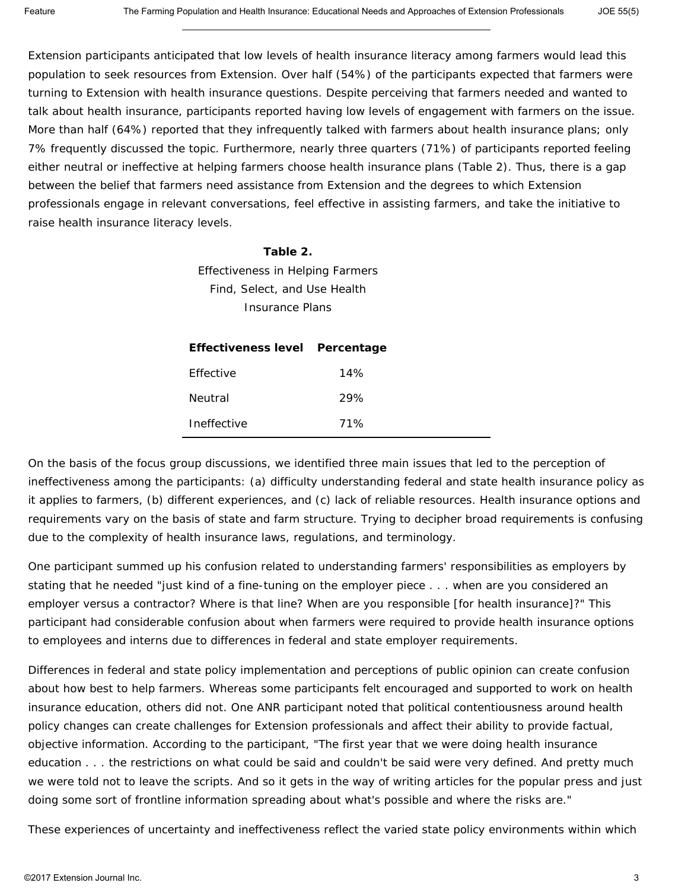Extension participants anticipated that low levels of health insurance literacy among farmers would lead this population to seek resources from Extension. Over half (54%) of the participants expected that farmers were turning to Extension with health insurance questions. Despite perceiving that farmers needed and wanted to talk about health insurance, participants reported having low levels of engagement with farmers on the issue. More than half (64%) reported that they infrequently talked with farmers about health insurance plans; only 7% frequently discussed the topic. Furthermore, nearly three quarters (71%) of participants reported feeling either neutral or ineffective at helping farmers choose health insurance plans (Table 2). Thus, there is a gap between the belief that farmers need assistance from Extension and the degrees to which Extension professionals engage in relevant conversations, feel effective in assisting farmers, and take the initiative to raise health insurance literacy levels.

#### **Table 2.**

Effectiveness in Helping Farmers Find, Select, and Use Health Insurance Plans

| Effectiveness level Percentage |     |  |
|--------------------------------|-----|--|
| <b>Fffective</b>               | 14% |  |
| Neutral                        | 29% |  |
| Ineffective                    | 71% |  |

On the basis of the focus group discussions, we identified three main issues that led to the perception of ineffectiveness among the participants: (a) difficulty understanding federal and state health insurance policy as it applies to farmers, (b) different experiences, and (c) lack of reliable resources. Health insurance options and requirements vary on the basis of state and farm structure. Trying to decipher broad requirements is confusing due to the complexity of health insurance laws, regulations, and terminology.

One participant summed up his confusion related to understanding farmers' responsibilities as employers by stating that he needed "just kind of a fine-tuning on the employer piece . . . when are you considered an employer versus a contractor? Where is that line? When are you responsible [for health insurance]?" This participant had considerable confusion about when farmers were required to provide health insurance options to employees and interns due to differences in federal and state employer requirements.

Differences in federal and state policy implementation and perceptions of public opinion can create confusion about how best to help farmers. Whereas some participants felt encouraged and supported to work on health insurance education, others did not. One ANR participant noted that political contentiousness around health policy changes can create challenges for Extension professionals and affect their ability to provide factual, objective information. According to the participant, "The first year that we were doing health insurance education . . . the restrictions on what could be said and couldn't be said were very defined. And pretty much we were told not to leave the scripts. And so it gets in the way of writing articles for the popular press and just doing some sort of frontline information spreading about what's possible and where the risks are."

These experiences of uncertainty and ineffectiveness reflect the varied state policy environments within which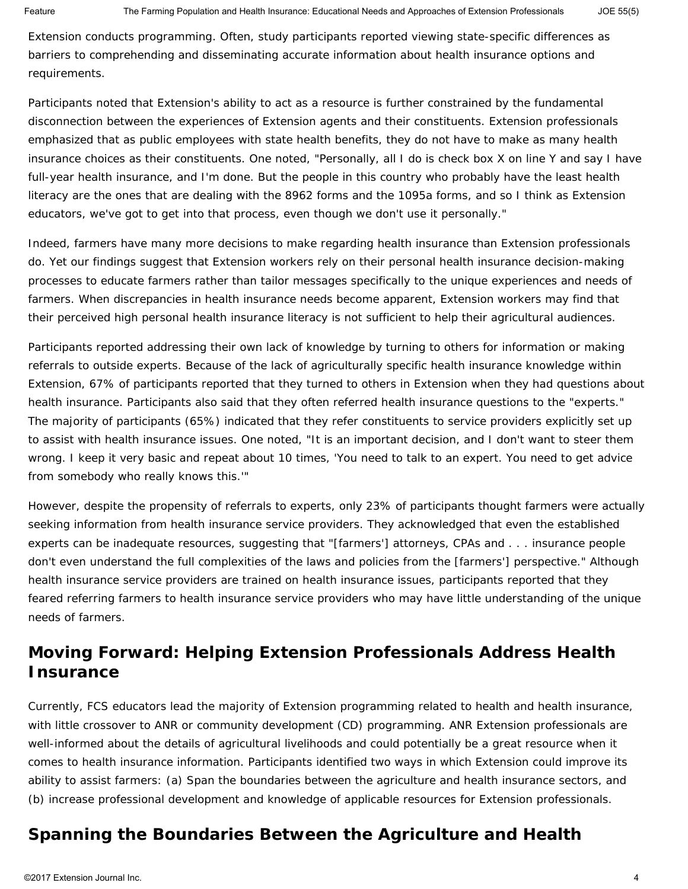Extension conducts programming. Often, study participants reported viewing state-specific differences as barriers to comprehending and disseminating accurate information about health insurance options and requirements.

Participants noted that Extension's ability to act as a resource is further constrained by the fundamental disconnection between the experiences of Extension agents and their constituents. Extension professionals emphasized that as public employees with state health benefits, they do not have to make as many health insurance choices as their constituents. One noted, "Personally, all I do is check box X on line Y and say I have full-year health insurance, and I'm done. But the people in this country who probably have the least health literacy are the ones that are dealing with the 8962 forms and the 1095a forms, and so I think as Extension educators, we've got to get into that process, even though we don't use it personally."

Indeed, farmers have many more decisions to make regarding health insurance than Extension professionals do. Yet our findings suggest that Extension workers rely on their personal health insurance decision-making processes to educate farmers rather than tailor messages specifically to the unique experiences and needs of farmers. When discrepancies in health insurance needs become apparent, Extension workers may find that their perceived high personal health insurance literacy is not sufficient to help their agricultural audiences.

Participants reported addressing their own lack of knowledge by turning to others for information or making referrals to outside experts. Because of the lack of agriculturally specific health insurance knowledge within Extension, 67% of participants reported that they turned to others in Extension when they had questions about health insurance. Participants also said that they often referred health insurance questions to the "experts." The majority of participants (65%) indicated that they refer constituents to service providers explicitly set up to assist with health insurance issues. One noted, "It is an important decision, and I don't want to steer them wrong. I keep it very basic and repeat about 10 times, 'You need to talk to an expert. You need to get advice from somebody who really knows this.'"

However, despite the propensity of referrals to experts, only 23% of participants thought farmers were actually seeking information from health insurance service providers. They acknowledged that even the established experts can be inadequate resources, suggesting that "[farmers'] attorneys, CPAs and . . . insurance people don't even understand the full complexities of the laws and policies from the [farmers'] perspective." Although health insurance service providers are trained on health insurance issues, participants reported that they feared referring farmers to health insurance service providers who may have little understanding of the unique needs of farmers.

## **Moving Forward: Helping Extension Professionals Address Health Insurance**

Currently, FCS educators lead the majority of Extension programming related to health and health insurance, with little crossover to ANR or community development (CD) programming. ANR Extension professionals are well-informed about the details of agricultural livelihoods and could potentially be a great resource when it comes to health insurance information. Participants identified two ways in which Extension could improve its ability to assist farmers: (a) Span the boundaries between the agriculture and health insurance sectors, and (b) increase professional development and knowledge of applicable resources for Extension professionals.

# *Spanning the Boundaries Between the Agriculture and Health*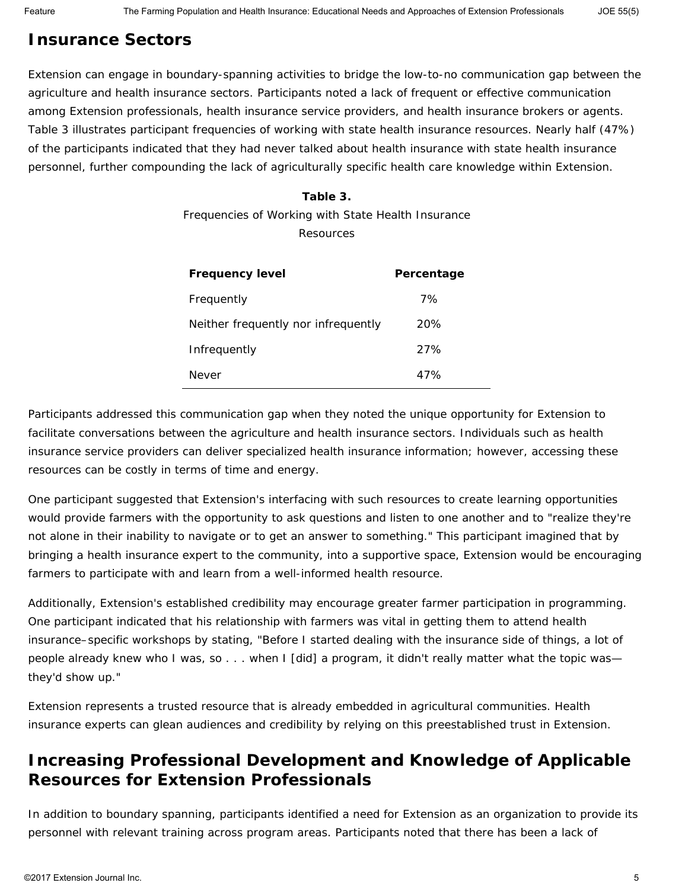# *Insurance Sectors*

Extension can engage in boundary-spanning activities to bridge the low-to-no communication gap between the agriculture and health insurance sectors. Participants noted a lack of frequent or effective communication among Extension professionals, health insurance service providers, and health insurance brokers or agents. Table 3 illustrates participant frequencies of working with state health insurance resources. Nearly half (47%) of the participants indicated that they had never talked about health insurance with state health insurance personnel, further compounding the lack of agriculturally specific health care knowledge within Extension.

#### **Table 3.**

Frequencies of Working with State Health Insurance Resources

| <b>Frequency level</b>              | Percentage |
|-------------------------------------|------------|
| Frequently                          | 7%         |
| Neither frequently nor infrequently | 20%        |
| Infrequently                        | 27%        |
| Never                               | 47%        |

Participants addressed this communication gap when they noted the unique opportunity for Extension to facilitate conversations between the agriculture and health insurance sectors. Individuals such as health insurance service providers can deliver specialized health insurance information; however, accessing these resources can be costly in terms of time and energy.

One participant suggested that Extension's interfacing with such resources to create learning opportunities would provide farmers with the opportunity to ask questions and listen to one another and to "realize they're not alone in their inability to navigate or to get an answer to something." This participant imagined that by bringing a health insurance expert to the community, into a supportive space, Extension would be encouraging farmers to participate with and learn from a well-informed health resource.

Additionally, Extension's established credibility may encourage greater farmer participation in programming. One participant indicated that his relationship with farmers was vital in getting them to attend health insurance–specific workshops by stating, "Before I started dealing with the insurance side of things, a lot of people already knew who I was, so . . . when I [did] a program, it didn't really matter what the topic was they'd show up."

Extension represents a trusted resource that is already embedded in agricultural communities. Health insurance experts can glean audiences and credibility by relying on this preestablished trust in Extension.

## *Increasing Professional Development and Knowledge of Applicable Resources for Extension Professionals*

In addition to boundary spanning, participants identified a need for Extension as an organization to provide its personnel with relevant training across program areas. Participants noted that there has been a lack of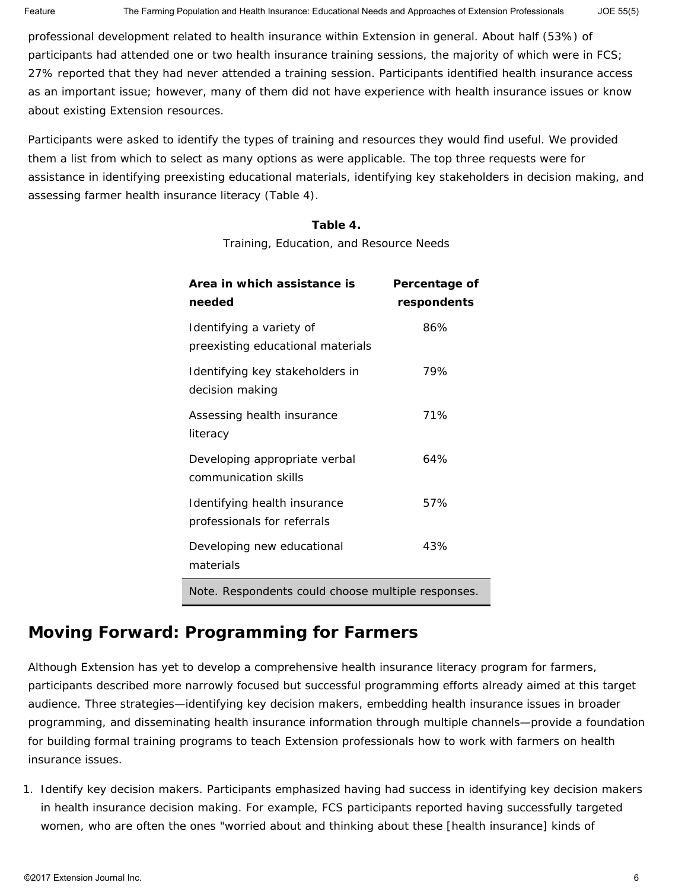professional development related to health insurance within Extension in general. About half (53%) of participants had attended one or two health insurance training sessions, the majority of which were in FCS; 27% reported that they had never attended a training session. Participants identified health insurance access as an important issue; however, many of them did not have experience with health insurance issues or know about existing Extension resources.

Participants were asked to identify the types of training and resources they would find useful. We provided them a list from which to select as many options as were applicable. The top three requests were for assistance in identifying preexisting educational materials, identifying key stakeholders in decision making, and assessing farmer health insurance literacy (Table 4).

#### **Table 4.**

Training, Education, and Resource Needs

| Area in which assistance is<br>needed                         | Percentage of<br>respondents |  |
|---------------------------------------------------------------|------------------------------|--|
| Identifying a variety of<br>preexisting educational materials | 86%                          |  |
| Identifying key stakeholders in<br>decision making            | 79%                          |  |
| Assessing health insurance<br>literacy                        | 71%                          |  |
| Developing appropriate verbal<br>communication skills         | 64%                          |  |
| Identifying health insurance<br>professionals for referrals   | 57%                          |  |
| Developing new educational<br>materials                       | 43%                          |  |
| Note. Respondents could choose multiple responses.            |                              |  |

## **Moving Forward: Programming for Farmers**

Although Extension has yet to develop a comprehensive health insurance literacy program for farmers, participants described more narrowly focused but successful programming efforts already aimed at this target audience. Three strategies—identifying key decision makers, embedding health insurance issues in broader programming, and disseminating health insurance information through multiple channels—provide a foundation for building formal training programs to teach Extension professionals how to work with farmers on health insurance issues.

1. *Identify key decision makers.* Participants emphasized having had success in identifying key decision makers in health insurance decision making. For example, FCS participants reported having successfully targeted women, who are often the ones "worried about and thinking about these [health insurance] kinds of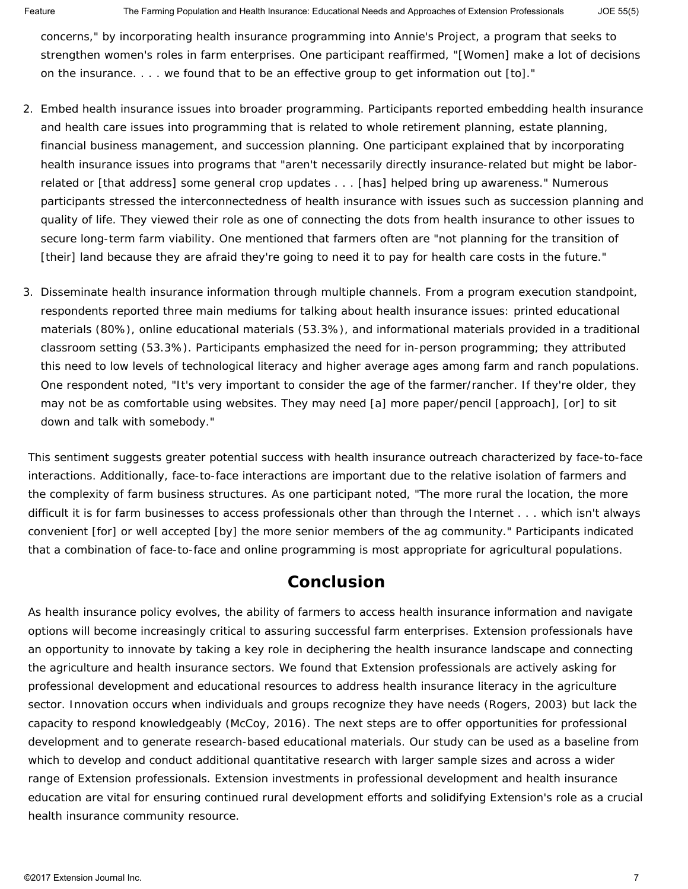concerns," by incorporating health insurance programming into Annie's Project, a program that seeks to strengthen women's roles in farm enterprises. One participant reaffirmed, "[Women] make a lot of decisions on the insurance. . . . we found that to be an effective group to get information out [to]."

- 2. *Embed health insurance issues into broader programming.* Participants reported embedding health insurance and health care issues into programming that is related to whole retirement planning, estate planning, financial business management, and succession planning. One participant explained that by incorporating health insurance issues into programs that "aren't necessarily directly insurance-related but might be laborrelated or [that address] some general crop updates . . . [has] helped bring up awareness." Numerous participants stressed the interconnectedness of health insurance with issues such as succession planning and quality of life. They viewed their role as one of connecting the dots from health insurance to other issues to secure long-term farm viability. One mentioned that farmers often are "not planning for the transition of [their] land because they are afraid they're going to need it to pay for health care costs in the future."
- 3. *Disseminate health insurance information through multiple channels.* From a program execution standpoint, respondents reported three main mediums for talking about health insurance issues: printed educational materials (80%), online educational materials (53.3%), and informational materials provided in a traditional classroom setting (53.3%). Participants emphasized the need for in-person programming; they attributed this need to low levels of technological literacy and higher average ages among farm and ranch populations. One respondent noted, "It's very important to consider the age of the farmer/rancher. If they're older, they may not be as comfortable using websites. They may need [a] more paper/pencil [approach], [or] to sit down and talk with somebody."

This sentiment suggests greater potential success with health insurance outreach characterized by face-to-face interactions. Additionally, face-to-face interactions are important due to the relative isolation of farmers and the complexity of farm business structures. As one participant noted, "The more rural the location, the more difficult it is for farm businesses to access professionals other than through the Internet . . . which isn't always convenient [for] or well accepted [by] the more senior members of the ag community." Participants indicated that a combination of face-to-face and online programming is most appropriate for agricultural populations.

### **Conclusion**

As health insurance policy evolves, the ability of farmers to access health insurance information and navigate options will become increasingly critical to assuring successful farm enterprises. Extension professionals have an opportunity to innovate by taking a key role in deciphering the health insurance landscape and connecting the agriculture and health insurance sectors. We found that Extension professionals are actively asking for professional development and educational resources to address health insurance literacy in the agriculture sector. Innovation occurs when individuals and groups recognize they have needs (Rogers, 2003) but lack the capacity to respond knowledgeably (McCoy, 2016). The next steps are to offer opportunities for professional development and to generate research-based educational materials. Our study can be used as a baseline from which to develop and conduct additional quantitative research with larger sample sizes and across a wider range of Extension professionals. Extension investments in professional development and health insurance education are vital for ensuring continued rural development efforts and solidifying Extension's role as a crucial health insurance community resource.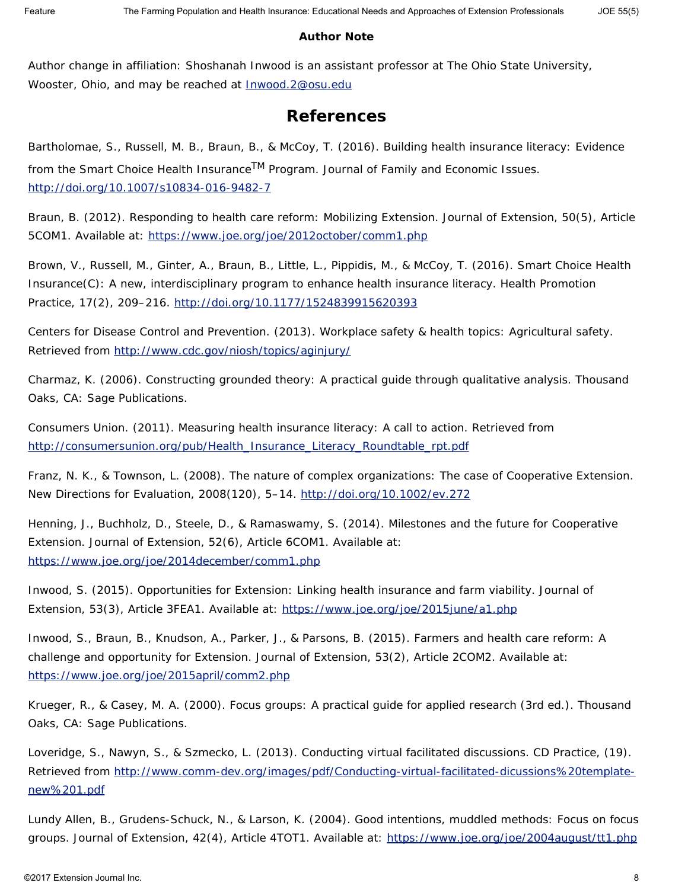#### **Author Note**

Author change in affiliation: Shoshanah Inwood is an assistant professor at The Ohio State University, Wooster, Ohio, and may be reached at **[Inwood.2@osu.edu](mailto:Inwood.2@osu.edu)** 

## **References**

Bartholomae, S., Russell, M. B., Braun, B., & McCoy, T. (2016). Building health insurance literacy: Evidence from the Smart Choice Health InsuranceTM Program. *Journal of Family and Economic Issues*. <http://doi.org/10.1007/s10834-016-9482-7>

Braun, B. (2012). Responding to health care reform: Mobilizing Extension. *Journal of Extension*, *50*(5), Article 5COM1. Available at:<https://www.joe.org/joe/2012october/comm1.php>

Brown, V., Russell, M., Ginter, A., Braun, B., Little, L., Pippidis, M., & McCoy, T. (2016). Smart Choice Health Insurance(C): A new, interdisciplinary program to enhance health insurance literacy. *Health Promotion Practice*, *17*(2), 209–216.<http://doi.org/10.1177/1524839915620393>

Centers for Disease Control and Prevention. (2013). Workplace safety & health topics: Agricultural safety. Retrieved from <http://www.cdc.gov/niosh/topics/aginjury/>

Charmaz, K. (2006). *Constructing grounded theory: A practical guide through qualitative analysis.* Thousand Oaks, CA: Sage Publications.

Consumers Union. (2011). *Measuring health insurance literacy: A call to action*. Retrieved from [http://consumersunion.org/pub/Health\\_Insurance\\_Literacy\\_Roundtable\\_rpt.pdf](http://consumersunion.org/pub/Health_Insurance_Literacy_Roundtable_rpt.pdf)

Franz, N. K., & Townson, L. (2008). The nature of complex organizations: The case of Cooperative Extension. *New Directions for Evaluation*, *2008*(120), 5–14.<http://doi.org/10.1002/ev.272>

Henning, J., Buchholz, D., Steele, D., & Ramaswamy, S. (2014). Milestones and the future for Cooperative Extension. *Journal of Extension*, *52*(6), Article 6COM1. Available at: <https://www.joe.org/joe/2014december/comm1.php>

Inwood, S. (2015). Opportunities for Extension: Linking health insurance and farm viability. *Journal of Extension*, *53*(3), Article 3FEA1. Available at:<https://www.joe.org/joe/2015june/a1.php>

Inwood, S., Braun, B., Knudson, A., Parker, J., & Parsons, B. (2015). Farmers and health care reform: A challenge and opportunity for Extension. *Journal of Extension*, *53*(2), Article 2COM2. Available at: <https://www.joe.org/joe/2015april/comm2.php>

Krueger, R., & Casey, M. A. (2000). *Focus groups: A practical guide for applied research* (3rd ed.). Thousand Oaks, CA: Sage Publications.

Loveridge, S., Nawyn, S., & Szmecko, L. (2013). Conducting virtual facilitated discussions. *CD Practice*, (19). Retrieved from [http://www.comm-dev.org/images/pdf/Conducting-virtual-facilitated-dicussions%20template](http://www.comm-dev.org/images/pdf/Conducting-virtual-facilitated-dicussions%20template-new%201.pdf)[new%201.pdf](http://www.comm-dev.org/images/pdf/Conducting-virtual-facilitated-dicussions%20template-new%201.pdf)

Lundy Allen, B., Grudens-Schuck, N., & Larson, K. (2004). Good intentions, muddled methods: Focus on focus groups. *Journal of Extension*, *42*(4), Article 4TOT1. Available at:<https://www.joe.org/joe/2004august/tt1.php>